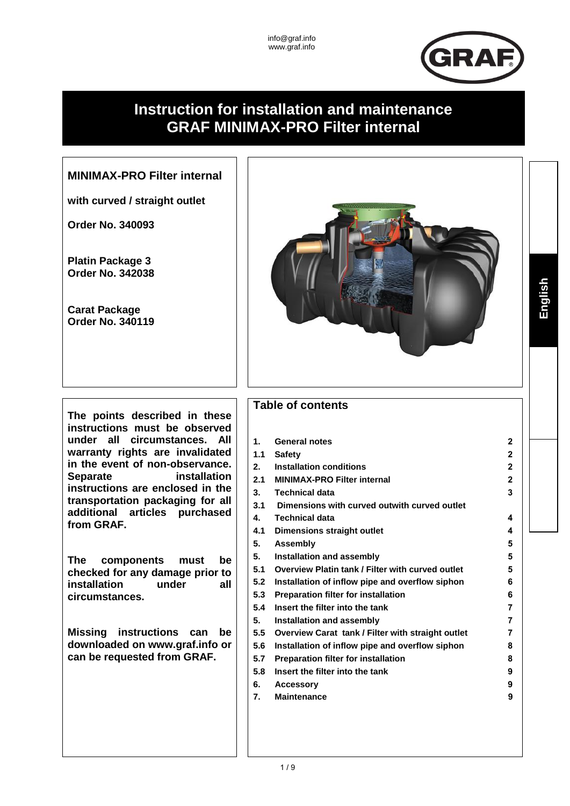

**English** 

# **Instruction for installation and maintenance GRAF MINIMAX-PRO Filter internal**

# **MINIMAX-PRO Filter internal**

**with curved / straight outlet**

**Order No. 340093**

**Platin Package 3 Order No. 342038**

**Carat Package Order No. 340119**

**The points described in these instructions must be observed under all circumstances. All warranty rights are invalidated in the event of non-observance. Separate installation instructions are enclosed in the transportation packaging for all additional articles purchased from GRAF.** 

**The components must be checked for any damage prior to installation under all circumstances.**

**Missing instructions can be downloaded on www.graf.info or can be requested from GRAF.**



# **Table of contents**

| 1.  | <b>General notes</b>                              | $\mathbf{2}$   |
|-----|---------------------------------------------------|----------------|
| 1.1 | <b>Safety</b>                                     | 2              |
| 2.  | <b>Installation conditions</b>                    | $\overline{2}$ |
| 2.1 | <b>MINIMAX-PRO Filter internal</b>                | $\overline{2}$ |
| 3.  | <b>Technical data</b>                             | 3              |
| 3.1 | Dimensions with curved outwith curved outlet      |                |
| 4.  | <b>Technical data</b>                             | 4              |
| 4.1 | Dimensions straight outlet                        | 4              |
| 5.  | <b>Assembly</b>                                   | 5              |
| 5.  | Installation and assembly                         | 5              |
| 5.1 | Overview Platin tank / Filter with curved outlet  | 5              |
| 5.2 | Installation of inflow pipe and overflow siphon   | 6              |
| 5.3 | <b>Preparation filter for installation</b>        | 6              |
| 5.4 | Insert the filter into the tank                   | 7              |
| 5.  | Installation and assembly                         | 7              |
| 5.5 | Overview Carat tank / Filter with straight outlet | 7              |
| 5.6 | Installation of inflow pipe and overflow siphon   | 8              |
| 5.7 | <b>Preparation filter for installation</b>        | 8              |
| 5.8 | Insert the filter into the tank                   | 9              |
| 6.  | <b>Accessory</b>                                  | 9              |
| 7.  | <b>Maintenance</b>                                | 9              |
|     |                                                   |                |
|     |                                                   |                |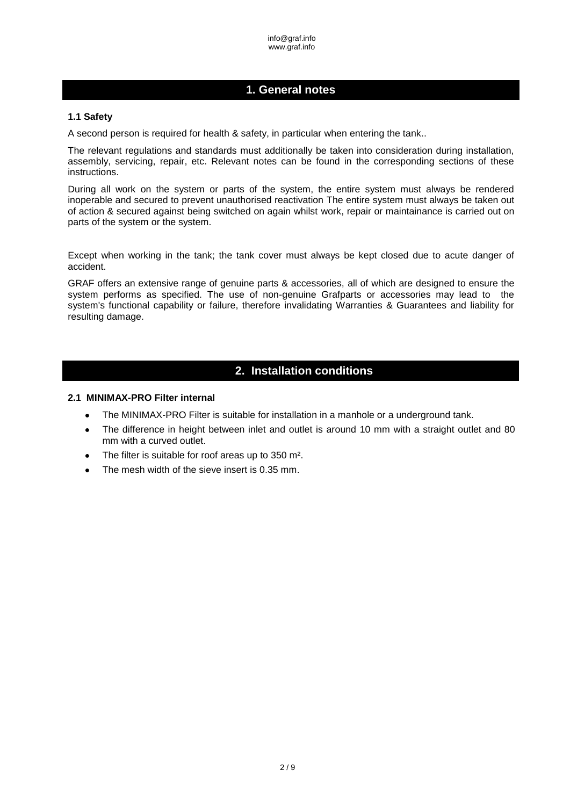### <span id="page-1-0"></span>**1. General notes**

#### <span id="page-1-1"></span>**1.1 Safety**

A second person is required for health & safety, in particular when entering the tank..

The relevant regulations and standards must additionally be taken into consideration during installation, assembly, servicing, repair, etc. Relevant notes can be found in the corresponding sections of these instructions.

During all work on the system or parts of the system, the entire system must always be rendered inoperable and secured to prevent unauthorised reactivation The entire system must always be taken out of action & secured against being switched on again whilst work, repair or maintainance is carried out on parts of the system or the system.

Except when working in the tank; the tank cover must always be kept closed due to acute danger of accident.

GRAF offers an extensive range of genuine parts & accessories, all of which are designed to ensure the system performs as specified. The use of non-genuine Grafparts or accessories may lead to the system's functional capability or failure, therefore invalidating Warranties & Guarantees and liability for resulting damage.

### **2. Installation conditions**

#### <span id="page-1-3"></span><span id="page-1-2"></span>**2.1 MINIMAX-PRO Filter internal**

- The MINIMAX-PRO Filter is suitable for installation in a manhole or a underground tank.  $\bullet$
- The difference in height between inlet and outlet is around 10 mm with a straight outlet and 80  $\bullet$ mm with a curved outlet.
- The filter is suitable for roof areas up to 350 m².  $\blacksquare$
- The mesh width of the sieve insert is 0.35 mm.  $\bullet$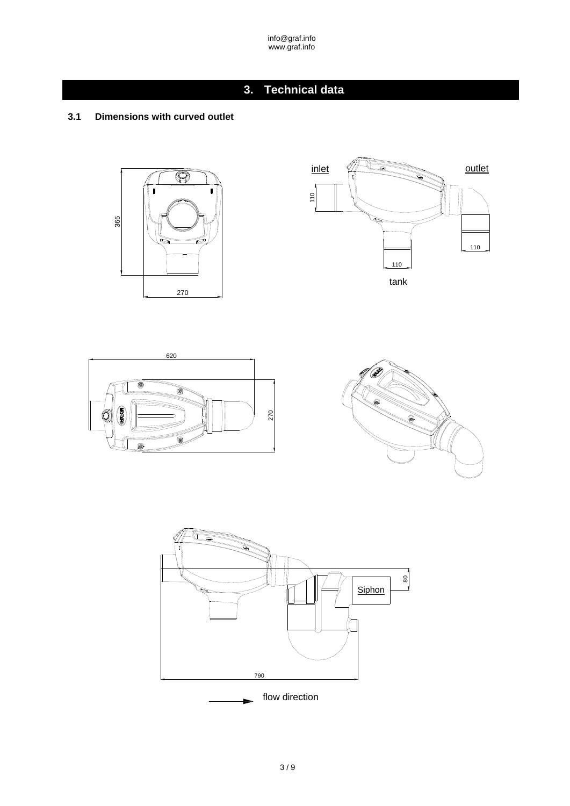# **3. Technical data**

### <span id="page-2-1"></span><span id="page-2-0"></span>**3.1 Dimensions with curved outlet**









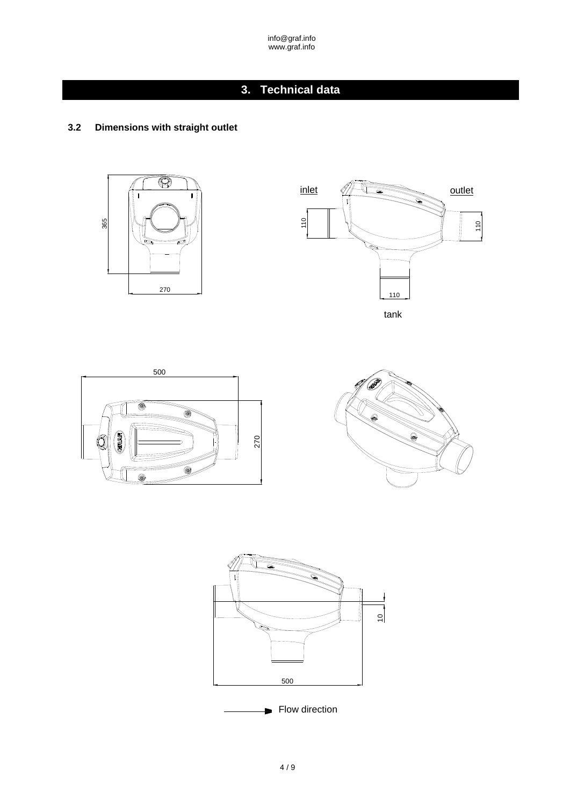# **3. Technical data**

### <span id="page-3-1"></span><span id="page-3-0"></span>**3.2 Dimensions with straight outlet**









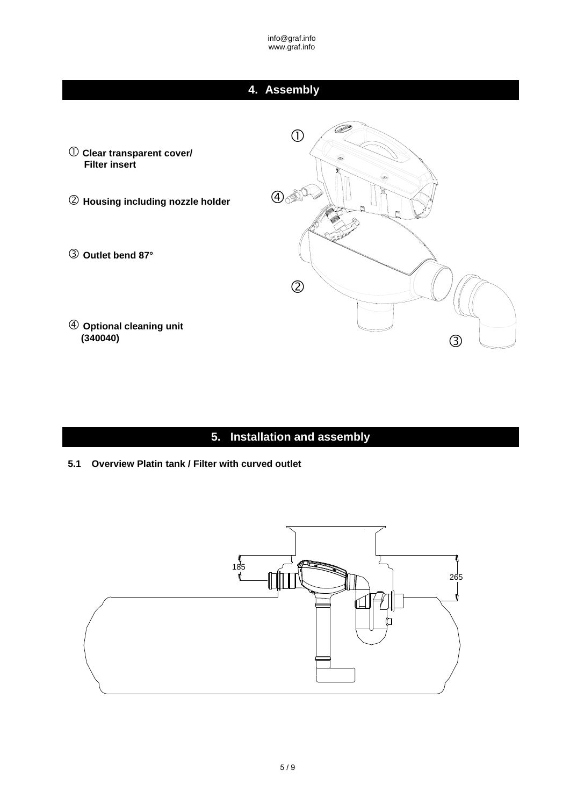# **4. Assembly**

<span id="page-4-0"></span> $\bigcirc$ 3  $\mathcal{L}$  **Clear transparent cover/ Filter insert Housing including nozzle holder Outlet bend 87° Optional cleaning unit (340040)**   $\circled{2}$  $\bigoplus_{\mathcal{D}} \mathcal{D}^{\mathcal{D}}$ 

**5. Installation and assembly**

<span id="page-4-2"></span><span id="page-4-1"></span>**5.1 Overview Platin tank / Filter with curved outlet**

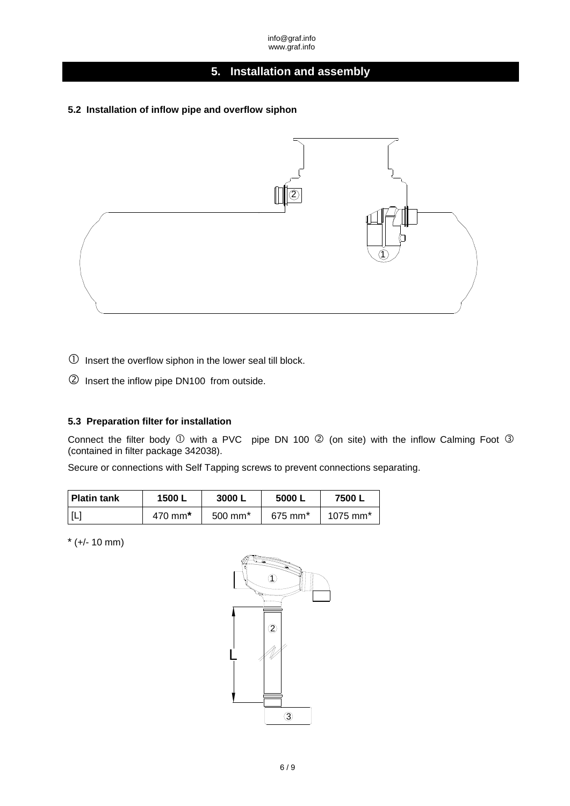# **[5. Installation and assembly](#page-4-1)**

#### <span id="page-5-0"></span>**5.2 Installation of inflow pipe and overflow siphon**



 $\mathbb D$  Insert the overflow siphon in the lower seal till block.

Insert the inflow pipe DN100 from outside.

### <span id="page-5-1"></span>**5.3 Preparation filter for installation**

Connect the filter body  $\mathbb O$  with a PVC pipe DN 100  $\mathbb O$  (on site) with the inflow Calming Foot  $\mathbb O$ (contained in filter package 342038).

Secure or connections with Self Tapping screws to prevent connections separating.

| <b>Platin tank</b>         | 1500 L  | 3000                  | 5000 L                | 7500L                  |
|----------------------------|---------|-----------------------|-----------------------|------------------------|
| $\left[ \mathsf{L}\right]$ | 470 mm* | $500$ mm <sup>*</sup> | $675$ mm <sup>*</sup> | $1075$ mm <sup>*</sup> |

\* (+/- 10 mm)

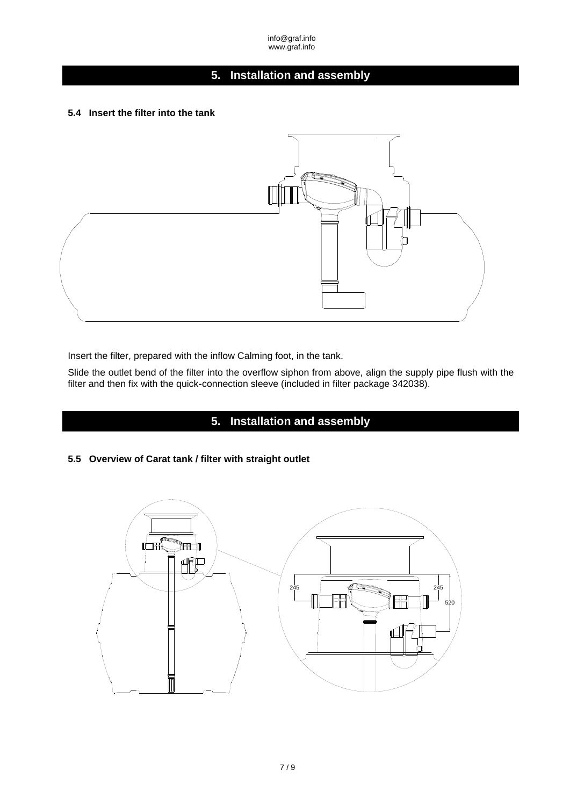# **[5. Installation and assembly](#page-4-1)**

#### <span id="page-6-0"></span>**5.4 Insert the filter into the tank**



Insert the filter, prepared with the inflow Calming foot, in the tank.

Slide the outlet bend of the filter into the overflow siphon from above, align the supply pipe flush with the filter and then fix with the quick-connection sleeve (included in filter package 342038).

## **[5. Installation and assembly](#page-4-1)**

### <span id="page-6-2"></span><span id="page-6-1"></span>**5.5 Overview of Carat tank / filter with straight outlet**

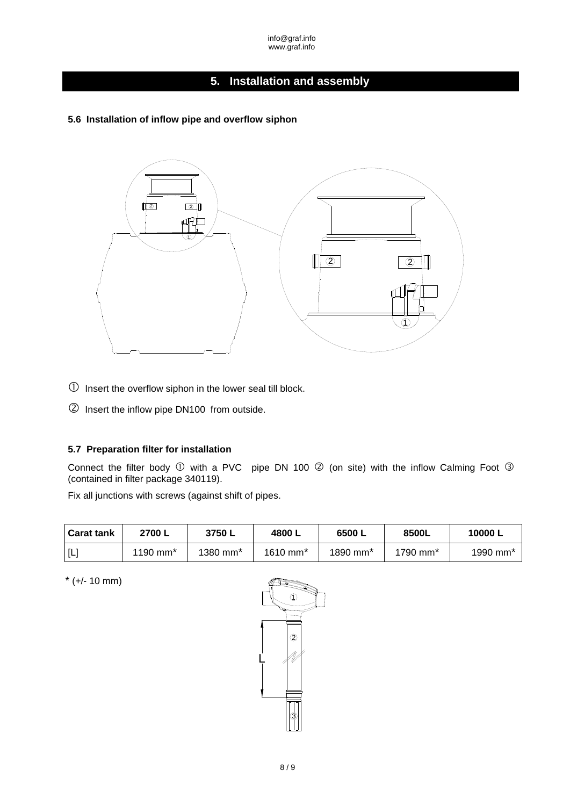### **[5. Installation and assembly](#page-4-1)**

<span id="page-7-0"></span>**5.6 Installation of inflow pipe and overflow siphon** 



- $\mathbb D$  Insert the overflow siphon in the lower seal till block.
- Insert the inflow pipe DN100 from outside.

#### <span id="page-7-1"></span>**5.7 Preparation filter for installation**

Connect the filter body  $\mathbb D$  with a PVC pipe DN 100  $\mathbb Q$  (on site) with the inflow Calming Foot  $\mathbb Q$ (contained in filter package 340119).

Fix all junctions with screws (against shift of pipes.

| <b>Carat tank</b> | 2700 L               | 3750L                  | 4800 L                 | 6500 L               | 8500L                  | 10000 L                |
|-------------------|----------------------|------------------------|------------------------|----------------------|------------------------|------------------------|
| [L]               | 1190 mm <sup>*</sup> | $1380$ mm <sup>*</sup> | $1610$ mm <sup>*</sup> | 1890 mm <sup>*</sup> | $1790$ mm <sup>*</sup> | $1990$ mm <sup>*</sup> |

 $*(+/ - 10 \text{ mm})$